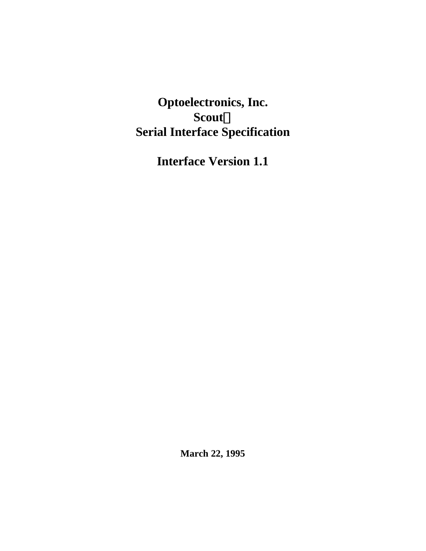**Optoelectronics, Inc.**  $$ **Serial Interface Specification**

**Interface Version 1.1**

**March 22, 1995**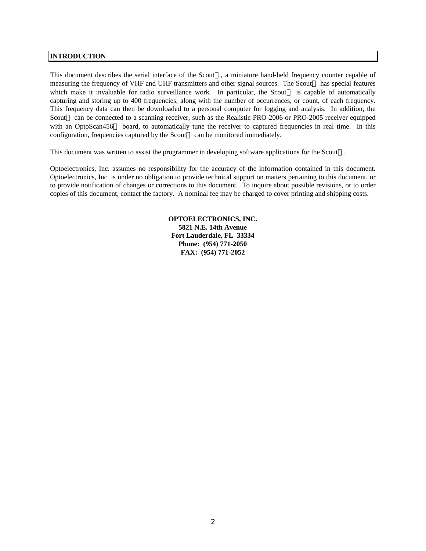# **INTRODUCTION**

This document describes the serial interface of the  $S\text{cout}^{\text{TM}}$ , a miniature hand-held frequency counter capable of measuring the frequency of VHF and UHF transmitters and other signal sources. The Scout<sup>TM</sup> has special features which make it invaluable for radio surveillance work. In particular, the Scout<sup>TM</sup> is capable of automatically capturing and storing up to 400 frequencies, along with the number of occurrences, or count, of each frequency. This frequency data can then be downloaded to a personal computer for logging and analysis. In addition, the Scout<sup>TM</sup> can be connected to a scanning receiver, such as the Realistic PRO-2006 or PRO-2005 receiver equipped with an OptoScan456<sup>TM</sup> board, to automatically tune the receiver to captured frequencies in real time. In this configuration, frequencies captured by the Scout<sup> $M$ </sup> can be monitored immediately.

This document was written to assist the programmer in developing software applications for the  $S\text{count}^{\text{TM}}$ .

Optoelectronics, Inc. assumes no responsibility for the accuracy of the information contained in this document. Optoelectronics, Inc. is under no obligation to provide technical support on matters pertaining to this document, or to provide notification of changes or corrections to this document. To inquire about possible revisions, or to order copies of this document, contact the factory. A nominal fee may be charged to cover printing and shipping costs.

> **OPTOELECTRONICS, INC. 5821 N.E. 14th Avenue Fort Lauderdale, FL 33334 Phone: (954) 771-2050 FAX: (954) 771-2052**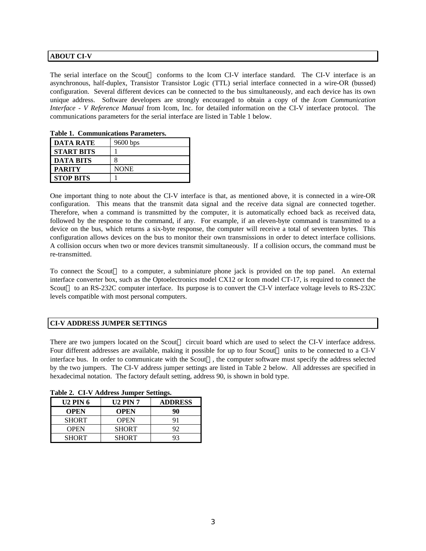# **ABOUT CI-V**

The serial interface on the Scout<sup>TM</sup> conforms to the Icom CI-V interface standard. The CI-V interface is an asynchronous, half-duplex, Transistor Transistor Logic (TTL) serial interface connected in a wire-OR (bussed) configuration. Several different devices can be connected to the bus simultaneously, and each device has its own unique address. Software developers are strongly encouraged to obtain a copy of the *Icom Communication Interface - V Reference Manual* from Icom, Inc. for detailed information on the CI-V interface protocol. The communications parameters for the serial interface are listed in Table 1 below.

| <b>DATA RATE</b>  | $9600$ bps  |  |  |  |  |  |
|-------------------|-------------|--|--|--|--|--|
| <b>START BITS</b> |             |  |  |  |  |  |
| <b>DATA BITS</b>  |             |  |  |  |  |  |
| <b>PARITY</b>     | <b>NONE</b> |  |  |  |  |  |
| <b>STOP BITS</b>  |             |  |  |  |  |  |

**Table 1. Communications Parameters.**

One important thing to note about the CI-V interface is that, as mentioned above, it is connected in a wire-OR configuration. This means that the transmit data signal and the receive data signal are connected together. Therefore, when a command is transmitted by the computer, it is automatically echoed back as received data, followed by the response to the command, if any. For example, if an eleven-byte command is transmitted to a device on the bus, which returns a six-byte response, the computer will receive a total of seventeen bytes. This configuration allows devices on the bus to monitor their own transmissions in order to detect interface collisions. A collision occurs when two or more devices transmit simultaneously. If a collision occurs, the command must be re-transmitted.

To connect the Scout<sup>TM</sup> to a computer, a subminiature phone jack is provided on the top panel. An external interface converter box, such as the Optoelectronics model CX12 or Icom model CT-17, is required to connect the Scout<sup>TM</sup> to an RS-232C computer interface. Its purpose is to convert the CI-V interface voltage levels to RS-232C levels compatible with most personal computers.

# **CI-V ADDRESS JUMPER SETTINGS**

There are two jumpers located on the Scout<sup>TM</sup> circuit board which are used to select the CI-V interface address. Four different addresses are available, making it possible for up to four Scout<sup> $M$ </sup> units to be connected to a CI-V interface bus. In order to communicate with the Scout<sup>TM</sup>, the computer software must specify the address selected by the two jumpers. The CI-V address jumper settings are listed in Table 2 below. All addresses are specified in hexadecimal notation. The factory default setting, address 90, is shown in bold type.

| $\frac{1}{2}$ and $\frac{1}{2}$ . There is a semi- |                 |                |  |  |  |  |  |  |  |
|----------------------------------------------------|-----------------|----------------|--|--|--|--|--|--|--|
| <b>U2 PIN 6</b>                                    | <b>U2 PIN 7</b> | <b>ADDRESS</b> |  |  |  |  |  |  |  |
| <b>OPEN</b>                                        | <b>OPEN</b>     | 90             |  |  |  |  |  |  |  |
| <b>SHORT</b>                                       | <b>OPEN</b>     |                |  |  |  |  |  |  |  |
| <b>OPEN</b>                                        | <b>SHORT</b>    | 92             |  |  |  |  |  |  |  |
| <b>SHORT</b>                                       | <b>SHORT</b>    |                |  |  |  |  |  |  |  |

**Table 2. CI-V Address Jumper Settings.**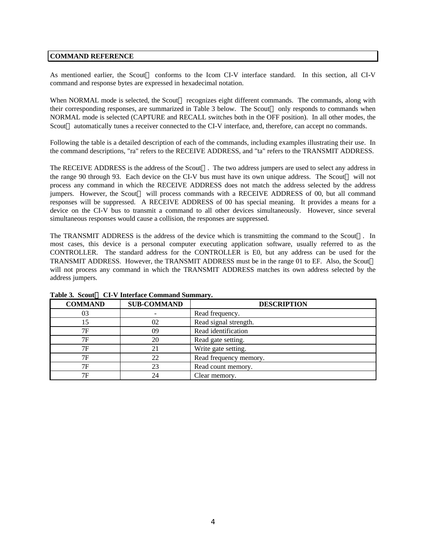## **COMMAND REFERENCE**

As mentioned earlier, the Scout<sup>TM</sup> conforms to the Icom CI-V interface standard. In this section, all CI-V command and response bytes are expressed in hexadecimal notation.

When NORMAL mode is selected, the Scout<sup>TM</sup> recognizes eight different commands. The commands, along with their corresponding responses, are summarized in Table 3 below. The Scout<sup> $TM$ </sup> only responds to commands when NORMAL mode is selected (CAPTURE and RECALL switches both in the OFF position). In all other modes, the Scout<sup>TM</sup> automatically tunes a receiver connected to the CI-V interface, and, therefore, can accept no commands.

Following the table is a detailed description of each of the commands, including examples illustrating their use. In the command descriptions, "ra" refers to the RECEIVE ADDRESS, and "ta" refers to the TRANSMIT ADDRESS.

The RECEIVE ADDRESS is the address of the Scout<sup>TM</sup>. The two address jumpers are used to select any address in the range 90 through 93. Each device on the CI-V bus must have its own unique address. The Scout<sup>™</sup> will not process any command in which the RECEIVE ADDRESS does not match the address selected by the address jumpers. However, the Scout<sup>TM</sup> will process commands with a RECEIVE ADDRESS of 00, but all command responses will be suppressed. A RECEIVE ADDRESS of 00 has special meaning. It provides a means for a device on the CI-V bus to transmit a command to all other devices simultaneously. However, since several simultaneous responses would cause a collision, the responses are suppressed.

The TRANSMIT ADDRESS is the address of the device which is transmitting the command to the Scout<sup>TM</sup>. In most cases, this device is a personal computer executing application software, usually referred to as the CONTROLLER. The standard address for the CONTROLLER is E0, but any address can be used for the TRANSMIT ADDRESS. However, the TRANSMIT ADDRESS must be in the range 01 to EF. Also, the Scout will not process any command in which the TRANSMIT ADDRESS matches its own address selected by the address jumpers.

| <b>COMMAND</b> | <b>SUB-COMMAND</b> | <b>DESCRIPTION</b>     |
|----------------|--------------------|------------------------|
| 03             |                    | Read frequency.        |
| 15             | 02                 | Read signal strength.  |
| 7F             | 09                 | Read identification    |
| 7F             | 20                 | Read gate setting.     |
| 7F             | 21                 | Write gate setting.    |
| 7F             | 22                 | Read frequency memory. |
| 7F             | 23                 | Read count memory.     |
| 7F             | 24                 | Clear memory.          |

## Table 3. Scout<sup>™</sup> CI-V Interface Command Summary.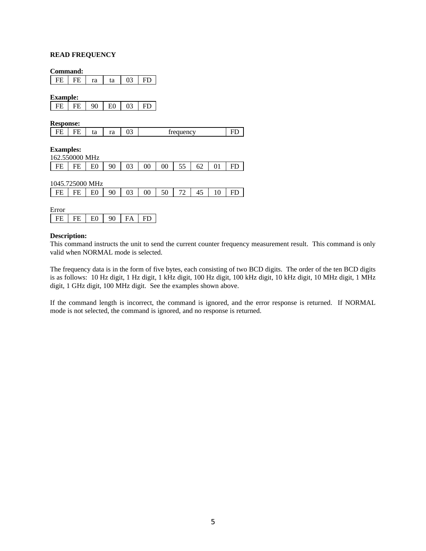## **READ FREQUENCY**

#### **Command:**

FE  $F$  ra  $\vert$  ta  $\vert$  03  $\vert$  FD

**Example:**

| -- |    |    |    |    |     |
|----|----|----|----|----|-----|
| EЕ | FF | 90 | E0 | 03 | FD. |

**Response:**

| .<br>- |    | $\sim$<br>. . |   |                  |  |
|--------|----|---------------|---|------------------|--|
| -      | ıa | 1 u           | ັ | <i>trequency</i> |  |

**Examples:**

| 162.550000 MHz |    |    |    |    |    |    |    |    |  |  |  |  |
|----------------|----|----|----|----|----|----|----|----|--|--|--|--|
| FЕ             | EE | F۵ | 90 | 03 | 00 | 00 | 55 | 62 |  |  |  |  |

| 1045.725000 MHz |    |    |    |    |        |    |    |  |  |     |  |  |
|-----------------|----|----|----|----|--------|----|----|--|--|-----|--|--|
| FE              | FE | E0 | 90 | 03 | $00\,$ | 50 | 72 |  |  | HL. |  |  |
|                 |    |    |    |    |        |    |    |  |  |     |  |  |
| Error           |    |    |    |    |        |    |    |  |  |     |  |  |

| . |  |    |  |
|---|--|----|--|
|   |  | nη |  |

## **Description:**

This command instructs the unit to send the current counter frequency measurement result. This command is only valid when NORMAL mode is selected.

The frequency data is in the form of five bytes, each consisting of two BCD digits. The order of the ten BCD digits is as follows: 10 Hz digit, 1 Hz digit, 1 kHz digit, 100 Hz digit, 100 kHz digit, 10 kHz digit, 10 MHz digit, 1 MHz digit, 1 GHz digit, 100 MHz digit. See the examples shown above.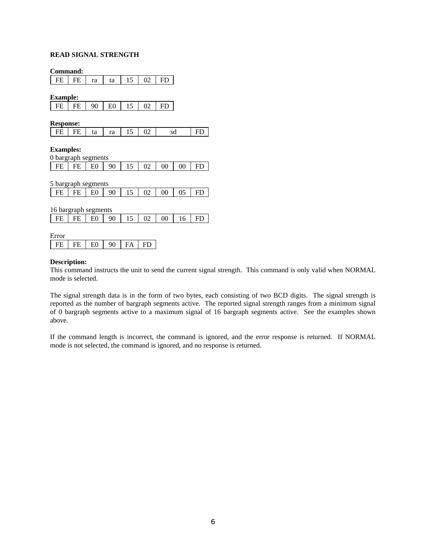# **READ SIGNAL STRENGTH**

**Command:**

**Example:**

| .          |     |         |    |  |  |
|------------|-----|---------|----|--|--|
| rг.<br>. . | EЮ. | 90<br>ັ | E0 |  |  |

**Response:**

| L ED<br>EE | ta | ra |  | UΖ | sd |  |
|------------|----|----|--|----|----|--|
|------------|----|----|--|----|----|--|

**Examples:**

|  | 0 bargraph segments            |  |  |  |  |
|--|--------------------------------|--|--|--|--|
|  | $E$ FE FE E0 90 15 02 00 00 FD |  |  |  |  |

5 bargraph segments

|  |  |  |  | $\boxed{\text{FE} \mid \text{FE} \mid E0}$   90   15   02   00   05   FD |  |
|--|--|--|--|--------------------------------------------------------------------------|--|
|  |  |  |  |                                                                          |  |

16 bargraph segments

|  | $E$ FE FE E0 90 15 02 00 16 FD |  |  |  |  |  |  |  |  |
|--|--------------------------------|--|--|--|--|--|--|--|--|
|--|--------------------------------|--|--|--|--|--|--|--|--|

Error

|  | ∼ |  |  |
|--|---|--|--|
|--|---|--|--|

## **Description:**

This command instructs the unit to send the current signal strength. This command is only valid when NORMAL mode is selected.

The signal strength data is in the form of two bytes, each consisting of two BCD digits. The signal strength is reported as the number of bargraph segments active. The reported signal strength ranges from a minimum signal of 0 bargraph segments active to a maximum signal of 16 bargraph segments active. See the examples shown above.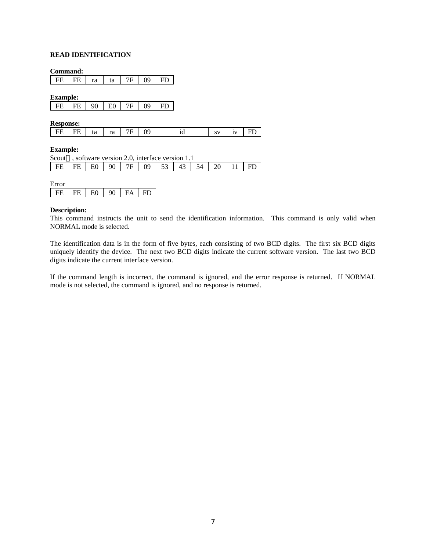# **READ IDENTIFICATION**

**Command:**

FE FE  $ra$  ta  $7F$  09 FD

**Example:**

| - EIE | FF. | 90<br>U | E0 | 09 | ED |
|-------|-----|---------|----|----|----|

**Response:**

| $\mathbf{I}$<br>FF. | . . | ta | $\overline{\mathbf{u}}$ | $ra$ $7F$ | ΩÓ | 10 | $\alpha$ v | 137 |  |
|---------------------|-----|----|-------------------------|-----------|----|----|------------|-----|--|
|---------------------|-----|----|-------------------------|-----------|----|----|------------|-----|--|

## **Example:**

| Scout <sup>TM</sup> , software version 2.0, interface version 1.1 |  |  |  |  |  |  |
|-------------------------------------------------------------------|--|--|--|--|--|--|
| FE FE E0 90 7F 09 53 43 54 20 11 FD                               |  |  |  |  |  |  |

| Error |     |                |    |    |  |
|-------|-----|----------------|----|----|--|
| FE.   | FE. | E <sub>0</sub> | 90 | FA |  |

## **Description:**

This command instructs the unit to send the identification information. This command is only valid when NORMAL mode is selected.

The identification data is in the form of five bytes, each consisting of two BCD digits. The first six BCD digits uniquely identify the device. The next two BCD digits indicate the current software version. The last two BCD digits indicate the current interface version.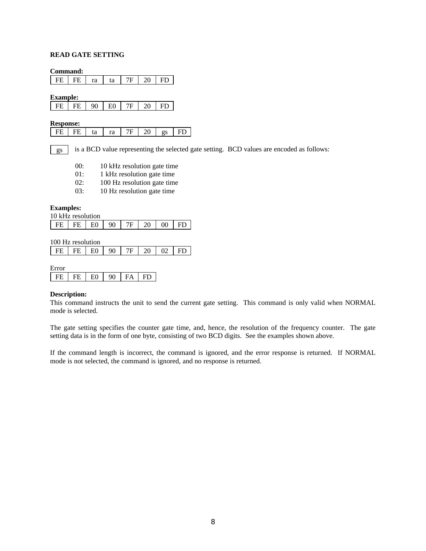## **READ GATE SETTING**

**Command:**

| 20<br>FE<br>FE<br>7Ε<br>ra<br>ta |  |  | FD |
|----------------------------------|--|--|----|
|----------------------------------|--|--|----|

**Example:**

| EЕ | ED.<br>_ | 90<br>U | EΩ<br>л | $\Omega$ |  |
|----|----------|---------|---------|----------|--|

**Response:**

| <br>-<br>$\overline{\phantom{0}}$<br>- - |
|------------------------------------------|
|------------------------------------------|

is a BCD value representing the selected gate setting. BCD values are encoded as follows: gs

| 00: | 10 kHz resolution gate time |  |
|-----|-----------------------------|--|
|     |                             |  |

- 01: 1 kHz resolution gate time
- 02: 100 Hz resolution gate time
- 03: 10 Hz resolution gate time

**Examples:**

| 10 kHz resolution |      |    |  |    |  |
|-------------------|------|----|--|----|--|
|                   | FF L | EΩ |  | 00 |  |

100 Hz resolution

|  |  | $FE$ $FE$ $E$ $1$ $E$ $1$ $90$ $1$ |  |  |  | $7F$   20   02   FD |  |
|--|--|------------------------------------|--|--|--|---------------------|--|
|--|--|------------------------------------|--|--|--|---------------------|--|

Error

| LU LU<br>. . | ÐГ | F۵ | ነስ | FГ |
|--------------|----|----|----|----|

## **Description:**

This command instructs the unit to send the current gate setting. This command is only valid when NORMAL mode is selected.

The gate setting specifies the counter gate time, and, hence, the resolution of the frequency counter. The gate setting data is in the form of one byte, consisting of two BCD digits. See the examples shown above.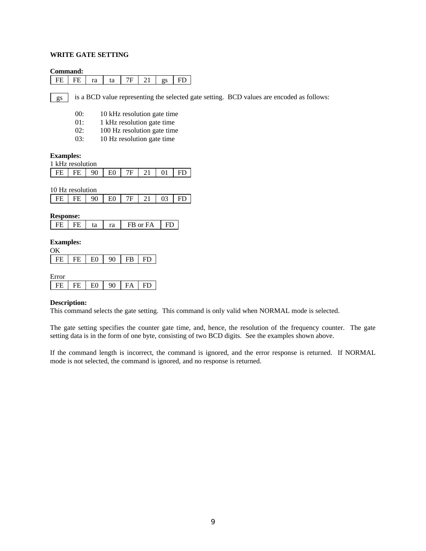## **WRITE GATE SETTING**

## **Command:**

| $\mathbf{I}$<br>rт<br>ra<br>ы |
|-------------------------------|
|-------------------------------|

is a BCD value representing the selected gate setting. BCD values are encoded as follows: gs

- 00: 10 kHz resolution gate time
- 01: 1 kHz resolution gate time
- 02: 100 Hz resolution gate time
- 03: 10 Hz resolution gate time

#### **Examples:**

| 1 kHz resolution |      |    |     |         |    |      |
|------------------|------|----|-----|---------|----|------|
|                  | FE L | 90 | EO. | 7F   21 | 01 | ∣ FD |

10 Hz resolution

| $\mathbf{I}$<br>EE L EE | 90 | ĒΩ<br>and the state of the state | 70 L |  |  |  |
|-------------------------|----|----------------------------------|------|--|--|--|
|-------------------------|----|----------------------------------|------|--|--|--|

**Response:**

| ta<br>ra | FB or FA |
|----------|----------|
|----------|----------|

#### **Examples:**  $\alpha$

| $\cdots$ |          |    |     |     |
|----------|----------|----|-----|-----|
|          | EΩ<br>ч. | ገበ | רוי | глг |

| Error |    |  |  |
|-------|----|--|--|
| FН    | FE |  |  |

### **Description:**

This command selects the gate setting. This command is only valid when NORMAL mode is selected.

The gate setting specifies the counter gate time, and, hence, the resolution of the frequency counter. The gate setting data is in the form of one byte, consisting of two BCD digits. See the examples shown above.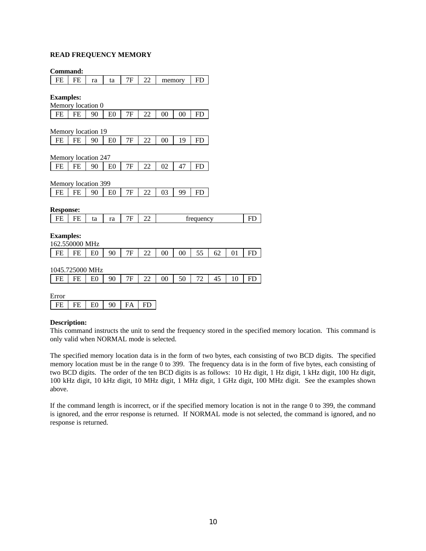# **READ FREQUENCY MEMORY**

**Command:**

| FE                  | FE              | ra             | ta             | 7F | 22        |    | memory | FD        |    |    |           |
|---------------------|-----------------|----------------|----------------|----|-----------|----|--------|-----------|----|----|-----------|
| <b>Examples:</b>    |                 |                |                |    |           |    |        |           |    |    |           |
| Memory location 0   |                 |                |                |    |           |    |        |           |    |    |           |
| $\rm FE$            | FE              | 90             | E0             | 7Ε | 22        | 00 | 00     | <b>FD</b> |    |    |           |
|                     |                 |                |                |    |           |    |        |           |    |    |           |
| Memory location 19  |                 |                |                |    |           |    |        |           |    |    |           |
| FE                  | FE              | 90             | E0             | 7F | 22        | 00 | 19     | <b>FD</b> |    |    |           |
|                     |                 |                |                |    |           |    |        |           |    |    |           |
| Memory location 247 |                 |                |                |    |           |    |        |           |    |    |           |
| <b>FE</b>           | <b>FE</b>       | 90             | E <sub>0</sub> | 7F | 22        | 02 | 47     | <b>FD</b> |    |    |           |
|                     |                 |                |                |    |           |    |        |           |    |    |           |
| Memory location 399 |                 |                |                |    |           |    |        |           |    |    |           |
| <b>FE</b>           | FE              | 90             | E <sub>0</sub> | 7F | 22        | 03 | 99     | <b>FD</b> |    |    |           |
|                     |                 |                |                |    |           |    |        |           |    |    |           |
| <b>Response:</b>    |                 |                |                |    |           |    |        |           |    |    |           |
| FE                  | FE              | ta             | ra             | 7F | 22        |    |        | frequency |    |    | <b>FD</b> |
| <b>Examples:</b>    | 162.550000 MHz  |                |                |    |           |    |        |           |    |    |           |
| FE                  | FE              | E0             | 90             | 7Ε | 22        | 00 | 00     | 55        | 62 | 01 | FD        |
|                     | 1045.725000 MHz |                |                |    |           |    |        |           |    |    |           |
| FE                  | FE              | E0             | 90             | 7F | 22        | 00 | 50     | 72        | 45 | 10 | FD        |
| Error               |                 |                |                |    |           |    |        |           |    |    |           |
| FE                  | FE              | E <sub>0</sub> | 90             | FA | <b>FD</b> |    |        |           |    |    |           |

## **Description:**

This command instructs the unit to send the frequency stored in the specified memory location. This command is only valid when NORMAL mode is selected.

The specified memory location data is in the form of two bytes, each consisting of two BCD digits. The specified memory location must be in the range 0 to 399. The frequency data is in the form of five bytes, each consisting of two BCD digits. The order of the ten BCD digits is as follows: 10 Hz digit, 1 Hz digit, 1 kHz digit, 100 Hz digit, 100 kHz digit, 10 kHz digit, 10 MHz digit, 1 MHz digit, 1 GHz digit, 100 MHz digit. See the examples shown above.

If the command length is incorrect, or if the specified memory location is not in the range 0 to 399, the command is ignored, and the error response is returned. If NORMAL mode is not selected, the command is ignored, and no response is returned.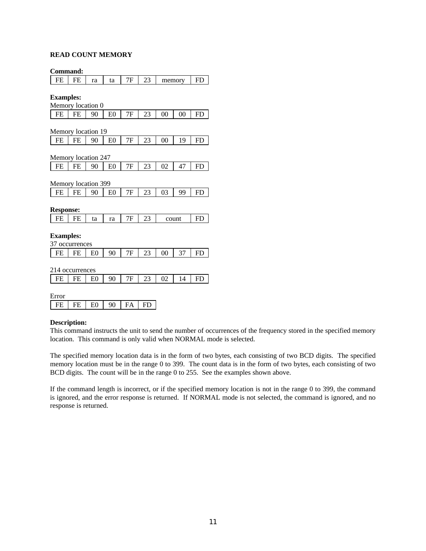# **READ COUNT MEMORY**

**Command:**

| FE                  | FE        | ra             | ta             | 7F        | 23 |                | memory | <b>FD</b> |
|---------------------|-----------|----------------|----------------|-----------|----|----------------|--------|-----------|
|                     |           |                |                |           |    |                |        |           |
| <b>Examples:</b>    |           |                |                |           |    |                |        |           |
| Memory location 0   |           |                |                |           |    |                |        |           |
| <b>FE</b>           | <b>FE</b> | 90             | E <sub>0</sub> | 7F        | 23 | 00             | 00     | <b>FD</b> |
|                     |           |                |                |           |    |                |        |           |
| Memory location 19  |           |                |                |           |    |                |        |           |
| FE                  | FE        | 90             | E <sub>0</sub> | 7F        | 23 | 00             | 19     | <b>FD</b> |
|                     |           |                |                |           |    |                |        |           |
| Memory location 247 |           |                |                |           |    |                |        |           |
| FE                  | FE        | 90             | E0             | 7F        | 23 | 02             | 47     | FD        |
|                     |           |                |                |           |    |                |        |           |
| Memory location 399 |           |                |                |           |    |                |        |           |
| FE                  | FE        | 90             | E <sub>0</sub> | 7F        | 23 | 03             | 99     | <b>FD</b> |
|                     |           |                |                |           |    |                |        |           |
| <b>Response:</b>    |           |                |                |           |    |                |        |           |
| FE                  | FE        | ta             | ra             | 7F        | 23 |                | count  | <b>FD</b> |
|                     |           |                |                |           |    |                |        |           |
| <b>Examples:</b>    |           |                |                |           |    |                |        |           |
| 37 occurrences      |           |                |                |           |    |                |        |           |
| FE                  | FE        | E0             | 90             | 7F        | 23 | 0 <sub>0</sub> | 37     | <b>FD</b> |
|                     |           |                |                |           |    |                |        |           |
| 214 occurrences     |           |                |                |           |    |                |        |           |
| FE                  | FE        | E0             | 90             | 7F        | 23 | 02             | 14     | FD        |
|                     |           |                |                |           |    |                |        |           |
| Error               |           |                |                |           |    |                |        |           |
| FE                  | FE        | E <sub>0</sub> | 90             | <b>FA</b> | FD |                |        |           |
|                     |           |                |                |           |    |                |        |           |

## **Description:**

This command instructs the unit to send the number of occurrences of the frequency stored in the specified memory location. This command is only valid when NORMAL mode is selected.

The specified memory location data is in the form of two bytes, each consisting of two BCD digits. The specified memory location must be in the range 0 to 399. The count data is in the form of two bytes, each consisting of two BCD digits. The count will be in the range 0 to 255. See the examples shown above.

If the command length is incorrect, or if the specified memory location is not in the range 0 to 399, the command is ignored, and the error response is returned. If NORMAL mode is not selected, the command is ignored, and no response is returned.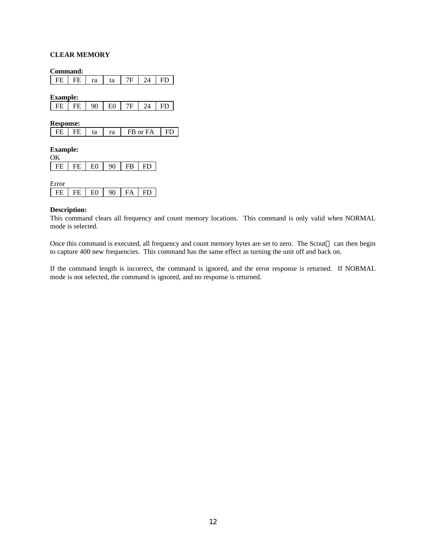## **CLEAR MEMORY**

**Command:**

|  | rг | т<br>L. | ra | ta |  |  |  |
|--|----|---------|----|----|--|--|--|
|--|----|---------|----|----|--|--|--|

**Example:**

| $^{\circ}$<br>- CIP -<br>rг.<br>ັ<br>- |  |  |  |  |
|----------------------------------------|--|--|--|--|
|----------------------------------------|--|--|--|--|

**Response:**

| cс |  | ta | ra | FB or FA |  |
|----|--|----|----|----------|--|
|----|--|----|----|----------|--|

#### **Example:**  $\alpha$

| $FE$ $FE$ $E0$ | $90$   FB   FD |  |
|----------------|----------------|--|
|                |                |  |

| E<br><b>rror</b> |  |  |  |
|------------------|--|--|--|
|                  |  |  |  |

## **Description:**

This command clears all frequency and count memory locations. This command is only valid when NORMAL mode is selected.

Once this command is executed, all frequency and count memory bytes are set to zero. The Scout<sup>™</sup> can then begin to capture 400 new frequencies. This command has the same effect as turning the unit off and back on.